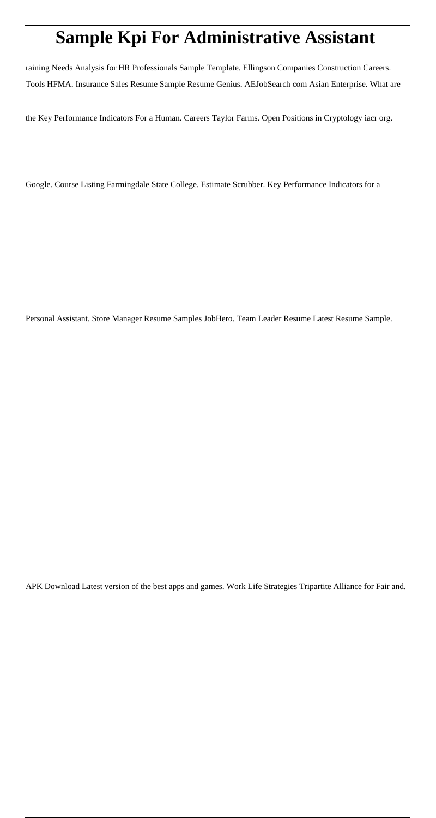# **Sample Kpi For Administrative Assistant**

raining Needs Analysis for HR Professionals Sample Template. Ellingson Companies Construction Careers. Tools HFMA. Insurance Sales Resume Sample Resume Genius. AEJobSearch com Asian Enterprise. What are

the Key Performance Indicators For a Human. Careers Taylor Farms. Open Positions in Cryptology iacr org.

Google. Course Listing Farmingdale State College. Estimate Scrubber. Key Performance Indicators for a

Personal Assistant. Store Manager Resume Samples JobHero. Team Leader Resume Latest Resume Sample.

APK Download Latest version of the best apps and games. Work Life Strategies Tripartite Alliance for Fair and.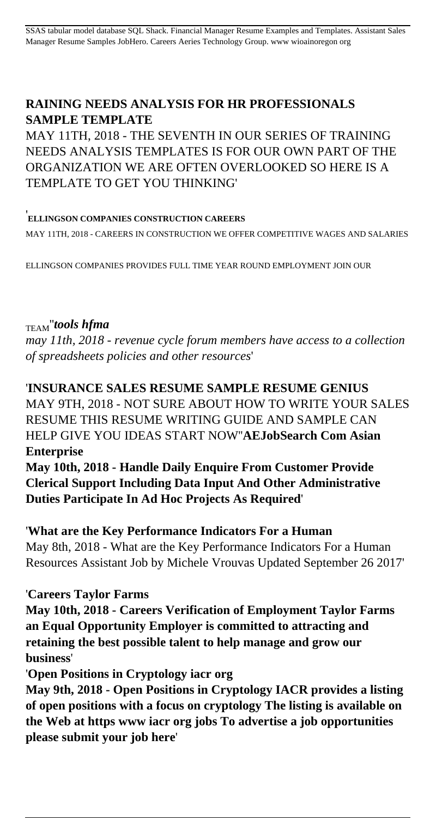# **RAINING NEEDS ANALYSIS FOR HR PROFESSIONALS SAMPLE TEMPLATE**

MAY 11TH, 2018 - THE SEVENTH IN OUR SERIES OF TRAINING NEEDS ANALYSIS TEMPLATES IS FOR OUR OWN PART OF THE ORGANIZATION WE ARE OFTEN OVERLOOKED SO HERE IS A TEMPLATE TO GET YOU THINKING'

#### '**ELLINGSON COMPANIES CONSTRUCTION CAREERS**

MAY 11TH, 2018 - CAREERS IN CONSTRUCTION WE OFFER COMPETITIVE WAGES AND SALARIES

ELLINGSON COMPANIES PROVIDES FULL TIME YEAR ROUND EMPLOYMENT JOIN OUR

## TEAM''*tools hfma*

*may 11th, 2018 - revenue cycle forum members have access to a collection of spreadsheets policies and other resources*'

## '**INSURANCE SALES RESUME SAMPLE RESUME GENIUS**

MAY 9TH, 2018 - NOT SURE ABOUT HOW TO WRITE YOUR SALES RESUME THIS RESUME WRITING GUIDE AND SAMPLE CAN HELP GIVE YOU IDEAS START NOW''**AEJobSearch Com Asian Enterprise**

**May 10th, 2018 - Handle Daily Enquire From Customer Provide Clerical Support Including Data Input And Other Administrative Duties Participate In Ad Hoc Projects As Required**'

'**What are the Key Performance Indicators For a Human** May 8th, 2018 - What are the Key Performance Indicators For a Human Resources Assistant Job by Michele Vrouvas Updated September 26 2017'

## '**Careers Taylor Farms**

**May 10th, 2018 - Careers Verification of Employment Taylor Farms an Equal Opportunity Employer is committed to attracting and retaining the best possible talent to help manage and grow our business**'

'**Open Positions in Cryptology iacr org**

**May 9th, 2018 - Open Positions in Cryptology IACR provides a listing of open positions with a focus on cryptology The listing is available on the Web at https www iacr org jobs To advertise a job opportunities please submit your job here**'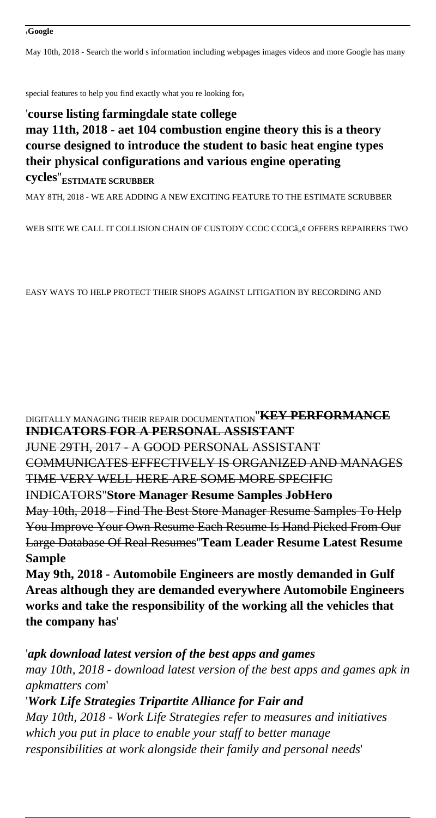May 10th, 2018 - Search the world s information including webpages images videos and more Google has many

special features to help you find exactly what you re looking for'

## '**course listing farmingdale state college may 11th, 2018 - aet 104 combustion engine theory this is a theory course designed to introduce the student to basic heat engine types their physical configurations and various engine operating cycles**''**ESTIMATE SCRUBBER**

MAY 8TH, 2018 - WE ARE ADDING A NEW EXCITING FEATURE TO THE ESTIMATE SCRUBBER

WEB SITE WE CALL IT COLLISION CHAIN OF CUSTODY CCOC CCOCâ...¢ OFFERS REPAIRERS TWO

EASY WAYS TO HELP PROTECT THEIR SHOPS AGAINST LITIGATION BY RECORDING AND

DIGITALLY MANAGING THEIR REPAIR DOCUMENTATION''**KEY PERFORMANCE INDICATORS FOR A PERSONAL ASSISTANT** JUNE 29TH, 2017 - A GOOD PERSONAL ASSISTANT COMMUNICATES EFFECTIVELY IS ORGANIZED AND MANAGES TIME VERY WELL HERE ARE SOME MORE SPECIFIC INDICATORS''**Store Manager Resume Samples JobHero** May 10th, 2018 - Find The Best Store Manager Resume Samples To Help You Improve Your Own Resume Each Resume Is Hand Picked From Our Large Database Of Real Resumes''**Team Leader Resume Latest Resume Sample**

**May 9th, 2018 - Automobile Engineers are mostly demanded in Gulf Areas although they are demanded everywhere Automobile Engineers works and take the responsibility of the working all the vehicles that the company has**'

'*apk download latest version of the best apps and games may 10th, 2018 - download latest version of the best apps and games apk in apkmatters com*' '*Work Life Strategies Tripartite Alliance for Fair and*

*May 10th, 2018 - Work Life Strategies refer to measures and initiatives which you put in place to enable your staff to better manage responsibilities at work alongside their family and personal needs*'